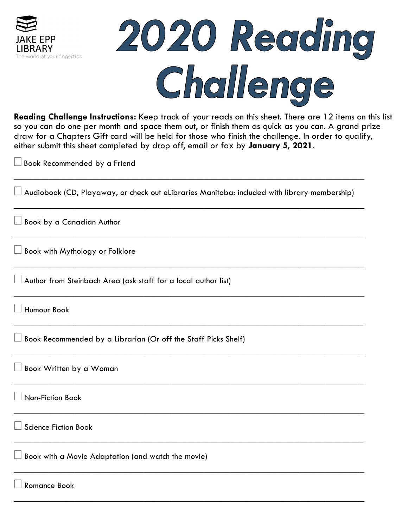

# 2020 Reading Challenge

**Reading Challenge Instructions:** Keep track of your reads on this sheet. There are 12 items on this list so you can do one per month and space them out, or finish them as quick as you can. A grand prize draw for a Chapters Gift card will be held for those who finish the challenge. In order to qualify, either submit this sheet completed by drop off, email or fax by **January 5, 2021.** 

 $\Box$  Book Recommended by a Friend

 $\perp$  Audiobook (CD, Playaway, or check out eLibraries Manitoba: included with library membership).

\_\_\_\_\_\_\_\_\_\_\_\_\_\_\_\_\_\_\_\_\_\_\_\_\_\_\_\_\_\_\_\_\_\_\_\_\_\_\_\_\_\_\_\_\_\_\_\_\_\_\_\_\_\_\_\_\_\_\_\_\_\_\_\_\_\_\_\_\_\_\_\_\_\_\_\_\_\_\_\_\_

\_\_\_\_\_\_\_\_\_\_\_\_\_\_\_\_\_\_\_\_\_\_\_\_\_\_\_\_\_\_\_\_\_\_\_\_\_\_\_\_\_\_\_\_\_\_\_\_\_\_\_\_\_\_\_\_\_\_\_\_\_\_\_\_\_\_\_\_\_\_\_\_\_\_\_\_\_\_\_\_\_

\_\_\_\_\_\_\_\_\_\_\_\_\_\_\_\_\_\_\_\_\_\_\_\_\_\_\_\_\_\_\_\_\_\_\_\_\_\_\_\_\_\_\_\_\_\_\_\_\_\_\_\_\_\_\_\_\_\_\_\_\_\_\_\_\_\_\_\_\_\_\_\_\_\_\_\_\_\_\_\_\_

\_\_\_\_\_\_\_\_\_\_\_\_\_\_\_\_\_\_\_\_\_\_\_\_\_\_\_\_\_\_\_\_\_\_\_\_\_\_\_\_\_\_\_\_\_\_\_\_\_\_\_\_\_\_\_\_\_\_\_\_\_\_\_\_\_\_\_\_\_\_\_\_\_\_\_\_\_\_\_\_\_

\_\_\_\_\_\_\_\_\_\_\_\_\_\_\_\_\_\_\_\_\_\_\_\_\_\_\_\_\_\_\_\_\_\_\_\_\_\_\_\_\_\_\_\_\_\_\_\_\_\_\_\_\_\_\_\_\_\_\_\_\_\_\_\_\_\_\_\_\_\_\_\_\_\_\_\_\_\_\_\_\_

\_\_\_\_\_\_\_\_\_\_\_\_\_\_\_\_\_\_\_\_\_\_\_\_\_\_\_\_\_\_\_\_\_\_\_\_\_\_\_\_\_\_\_\_\_\_\_\_\_\_\_\_\_\_\_\_\_\_\_\_\_\_\_\_\_\_\_\_\_\_\_\_\_\_\_\_\_\_\_\_\_

\_\_\_\_\_\_\_\_\_\_\_\_\_\_\_\_\_\_\_\_\_\_\_\_\_\_\_\_\_\_\_\_\_\_\_\_\_\_\_\_\_\_\_\_\_\_\_\_\_\_\_\_\_\_\_\_\_\_\_\_\_\_\_\_\_\_\_\_\_\_\_\_\_\_\_\_\_\_\_\_\_

\_\_\_\_\_\_\_\_\_\_\_\_\_\_\_\_\_\_\_\_\_\_\_\_\_\_\_\_\_\_\_\_\_\_\_\_\_\_\_\_\_\_\_\_\_\_\_\_\_\_\_\_\_\_\_\_\_\_\_\_\_\_\_\_\_\_\_\_\_\_\_\_\_\_\_\_\_\_\_\_\_

\_\_\_\_\_\_\_\_\_\_\_\_\_\_\_\_\_\_\_\_\_\_\_\_\_\_\_\_\_\_\_\_\_\_\_\_\_\_\_\_\_\_\_\_\_\_\_\_\_\_\_\_\_\_\_\_\_\_\_\_\_\_\_\_\_\_\_\_\_\_\_\_\_\_\_\_\_\_\_\_\_

\_\_\_\_\_\_\_\_\_\_\_\_\_\_\_\_\_\_\_\_\_\_\_\_\_\_\_\_\_\_\_\_\_\_\_\_\_\_\_\_\_\_\_\_\_\_\_\_\_\_\_\_\_\_\_\_\_\_\_\_\_\_\_\_\_\_\_\_\_\_\_\_\_\_\_\_\_\_\_\_\_

\_\_\_\_\_\_\_\_\_\_\_\_\_\_\_\_\_\_\_\_\_\_\_\_\_\_\_\_\_\_\_\_\_\_\_\_\_\_\_\_\_\_\_\_\_\_\_\_\_\_\_\_\_\_\_\_\_\_\_\_\_\_\_\_\_\_\_\_\_\_\_\_\_\_\_\_\_\_\_\_\_

\_\_\_\_\_\_\_\_\_\_\_\_\_\_\_\_\_\_\_\_\_\_\_\_\_\_\_\_\_\_\_\_\_\_\_\_\_\_\_\_\_\_\_\_\_\_\_\_\_\_\_\_\_\_\_\_\_\_\_\_\_\_\_\_\_\_\_\_\_\_\_\_\_\_\_\_\_\_\_\_\_

Book by a Canadian Author

Book with Mythology or Folklore

Author from Steinbach Area (ask staff for a local author list)

Humour Book

 $\Box$  Book Recommended by a Librarian (Or off the Staff Picks Shelf)

Book Written by a Woman

Non-Fiction Book

Science Fiction Book

Book with a Movie Adaptation (and watch the movie)

Romance Book